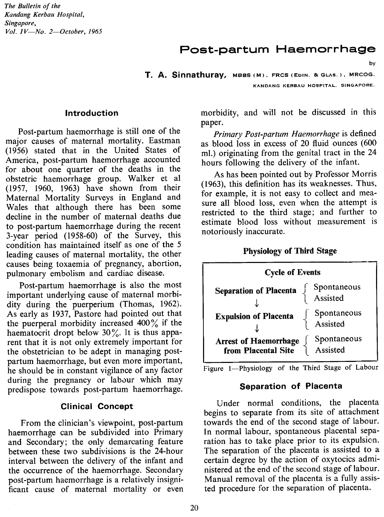*The Bulletin of the Kandang Kerbau Hospital, Singapore, Vol. IV-No. 2-0ctober, 1965*

# Post-partum Haemorrhage

**T. A. Sinnathuray,** MBBS(M), FRCS(EoIN. 8cGLAS.), MRCOG. KANDANG KERBAU HOSPITAL, SINGAPORE.

#### **Introduction**

Post-partum haemorrhage is still one of the major causes of maternal mortality. Eastman (1956) stated that in the United States of America, post-partum haemorrhage accounted for about one quarter of the deaths in the obstetric haemorrhage group. Walker et al (1957, 1960, 1963) have shown from their Maternal Mortality Surveys in England and Wales that although there has been some decline in the number of maternal deaths due to post-partum haemorrhage during the recent 3-year period (1958-60) of the Survey, this condition has maintained itself as one of the 5 leading causes of maternal mortality, the other causes being toxaemia of pregnancy, abortion, pulmonary embolism and cardiac disease.

Post-partum haemorrhage is also the most important underlying cause of maternal morbidity during the puerperium (Thomas, 1962). As early as 1937, Pastore had pointed out that the puerperal morbidity increased  $400\%$  if the haematocrit dropt below  $30\%$ . It is thus apparent that it is not only extremely important for the obstetrician to be adept in managing postpartum haemorrhage, but even more important, he should be in constant vigilance of any factor during the pregnancy or labour which may predispose towards post-partum haemorrhage.

#### **Clinical Concept**

From the clinician's viewpoint, post-partum haemorrhage can be subdivided into Primary and Secondary; the only demarcating feature between these two subdivisions is the 24-hour interval between the delivery of the infant and the occurrence of the haemorrhage. Secondary post-partum haemorrhage is a relatively insignificant cause of maternal mortality or even morbidity, and will not be discussed in this paper.

by

*Primary Post-partum Haemorrhage* is defined as blood loss in excess of 20 fluid ounces (600 ml.) originating from the genital tract in the 24 hours following the delivery of the infant.

As has been pointed out by Professor Morris (1963), this definition has its weaknesses. Thus, for example, it is not easy to collect and measure all blood loss, even when the attempt is restricted to the third stage; and further to estimate blood loss without measurement is notoriously inaccurate.

#### **Physiology of Third Stage**

| <b>Cycle of Events</b>                              |                         |  |
|-----------------------------------------------------|-------------------------|--|
| <b>Separation of Placenta</b>                       | Spontaneous<br>Assisted |  |
| <b>Expulsion of Placenta</b>                        | Spontaneous<br>Assisted |  |
| <b>Arrest of Haemorrhage</b><br>from Placental Site | Spontaneous<br>Assisted |  |

Figure 1-Physiology of the Third Stage of Labour

#### **Separation of Placenta**

Under normal conditions, the placenta begins to separate from its site of attachment towards the end of the second stage of labour. In normal labour, spontaneous placental separation has to take place prior to its expulsion. The separation of the placenta is assisted to a certain degree by the action of oxytocics administered at the end of the second stage of labour. Manual removal of the placenta is a fully assisted procedure for the separation of placenta.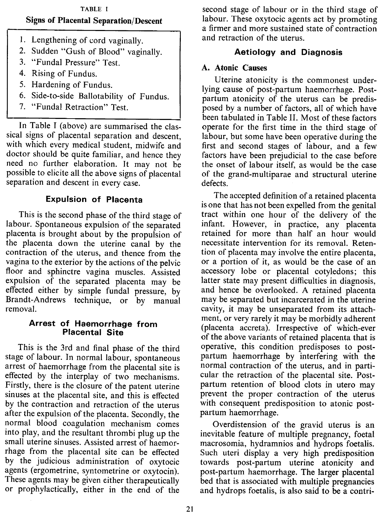### TABLE I Signs of Placental Separation/Descent

- 1. Lengthening of cord vaginally.
- 2. Sudden "Gush of Blood" vaginally.
- 3. "Fundal Pressure" Test.
- 4. Rising of Fundus.
- 5. Hardening of Fundus.
- 6. Side-to-side Ballotability of Fundus.
- 7. "Fundal Retraction" Test.

In Table I (above) are summarised the classical signs of placental separation and descent, with which every medical student, midwife and doctor should be quite familiar, and hence they need no further elaboration. It may not be possible to elicite all the above signs of placental separation and descent in every case.

# **Expulsion of Placenta**

This is the second phase of the third stage of labour. Spontaneous expulsion of the separated placenta is brought about by the propulsion of the placenta down the uterine canal by the contraction of the uterus, and thence from the vagina to the exterior by the actions of the pelvic floor and sphinctre vagina muscles. Assisted expulsion of the separated placenta may be effected either by simple fundal pressure, by Brandt-Andrews technique, or by manual removal.

### **Arrest of Haemorrhage from Placental Site**

This is the 3rd and final phase of the third stage of labour. In normal labour, spontaneous arrest of haemorrhage from the placental site is effected by the interplay of two mechanisms. Firstly, there is the closure of the patent uterine sinuses at the placental site, and this is effected by the contraction and retraction of the uterus after the expulsion of the placenta. Secondly, the normal blood coagulation mechanism comes into play, and the resultant thrombi plug up the small uterine sinuses. Assisted arrest of haemorrhage from the placental site can be effected by the judicious administration of oxytocic agents (ergometrine, syntometrine or oxytocin). These agents may be given either therapeutically or prophylactically, either in the end of the

second stage of labour or in the third stage of labour. These oxytocic agents act by promoting a firmer and more sustained state of contraction and retraction of the uterus.

# **Aetiology and Diagnosis**

## A. Atonic Causes

Uterine atonicity is the commonest underlying cause of post-partum haemorrhage. Postpartum atonicity of the uterus can be predisposed by a number of factors, all of which have been tabulated in Table II. Most of these factors operate for the first time in the third stage of labour, but some have been operative during the first and second stages of labour, and a few factors have been prejudicial to the case before the onset of labour itself, as would be the case of the grand-multiparae and structural uterine defects.

The accepted definition of a retained placenta is one that has not been expelled from the genital tract within one hour of the delivery of the infant. However, in practice, any placenta retained for more than half an hour would necessitate intervention for its removal. Retention of placenta may involve the entire placenta, or a portion of it, as would be the case of an accessory lobe or placental cotyledons; this latter state may present difficulties in diagnosis, and hence be overlooked. A retained placenta may be separated but incarcerated in the uterine cavity, it may be unseparated from its attachment, or very rarely it may be morbidly adherent (placenta accreta). Irrespective of which-ever of the above variants of retained placenta that is operative, this condition predisposes to postpartum haemorrhage by interfering with the normal contraction of the uterus, and in particular the retraction of the placental site. Postpartum retention of blood clots in utero may prevent the proper contraction of the uterus with consequent predisposition to atonic postpartum haemorrhage.

Overdistension of the gravid uterus is an inevitable feature of multiple pregnancy, foetal macrosomia, hydramnios and hydrops foetalis. Such uteri display a very high predisposition towards post-partum uterine atonicity and post-partum haemorrhage. The larger placental bed that is associated with multiple pregnancies and hydrops foetalis, is also said to be a contri-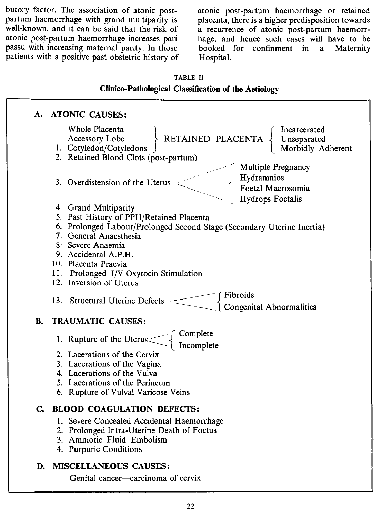butory factor. The association of atonic postpartum haemorrhage with grand multiparity is well-known, and it can be said that the risk of atonic post-partum haemorrhage increases pari passu with increasing maternal parity. In those patients with a positive past obstetric history of atonic post-partum haemorrhage or retained placenta, there is a higher predisposition towards a recurrence of atonic post-partum haemorrhage, and hence such cases will have to be booked for confinment in a Maternity Hospital.

#### TABLE II

#### Clinico-Pathological Classification of the Aetiology

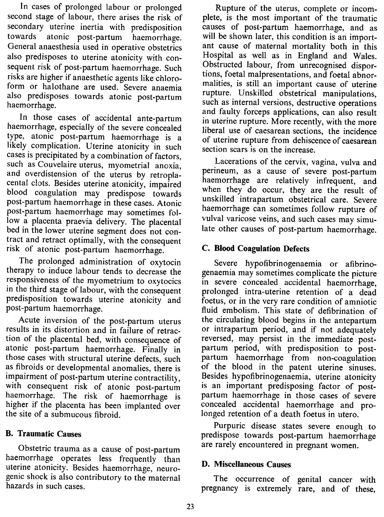In cases of prolonged labour or prolonged second stage of labour, there arises the risk of secondary uterine inertia with predisposition<br>towards atonic post-partum haemorrhage atonic post-partum haemorrhage. General anaesthesia used in operative obstetrics also predisposes to uterine atonicity with consequent risk of post-partum haemorrhage. Such risks are higher if anaesthetic agents like chloroform or halothane are used. Severe anaemia also predisposes towards atonic post-partum haemorrhage.

In those cases of accidental ante-partum haemorrhage, especially of the severe concealed type, atonic post-partum haemorrhage is a likely complication. Uterine atonicity in such cases is precipitated by a combination of factors, such as Couvelaire uterus, myometrial anoxia, and overdistension of the uterus by retroplacental clots. Besides uterine atonicity, impaired blood coagulation may predispose towards post-partum haemorrhage in these cases. Atonic post-partum haemorrhage may sometimes follow a placenta praevia delivery. The placental bed in the lower uterine segment does not contract and retract optimally, with the consequent risk of atonic post-partum haemorrhage.

The prolonged administration of oxytocin therapy to induce labour tends to decrease the responsiveness of the myometrium to oxytocics in the third stage of labour, with the consequent predisposition towards uterine atonicity and post-partum haemorrhage.

Acute inversion of the post-partum uterus results in its distortion and in failure of retraction of the placental bed, with consequence of atonic post-partum haemorrhage. Finally in those cases with structural uterine defects, such as fibroids or developmental anomalies, there is impairment of post-partum uterine contractility, with consequent risk of atonic post-partum haemorrhage. The risk of haemorrhage is higher if the placenta has been implanted over the site of a submucous fibroid.

### B. Traumatic Causes

Obstetric trauma as a cause of post-partum haemorrhage operates less frequently than uterine atonicity. Besides haemorrhage, neurogenic shock is also contributory to the maternal hazards in such cases.

Rupture of the uterus, complete or incomplete, is the most important of the traumatic causes of post-partum haemorrhage, and as will be shown later, this condition is an important cause of maternal mortality both in this Hospital as well as in England and Wales. Obstructed labour, from unrecognised disportions, foetal malpresentations, and foetal abnormalities, is still an important cause of uterine rupture. Unskilled obstetrical manipulations, such as internal versions, destructive operations and faulty forceps applications, can also result in uterine rupture. More recently, with the more liberal use of caesarean sections, the incidence of uterine rupture from dehiscence of caesarean section scars is on the increase.

Lacerations of the cervix, vagina, vulva and perineum, as a cause of severe post-partum haemorrhage are relatively infrequent, and when they do occur, they are the result of unskilled intrapartum obstetrical care. Severe haemorrhage can sometimes follow rupture of vulval varicose veins, and such cases may simulate other causes of post-partum haemorrhage.

### C. **Blood** Coagulation Defects

Severe hypofibrinogenaemia or afibrinogenaemia may sometimes complicate the picture in severe concealed accidental haemorrhage, prolonged intra-uterine retention of a dead foetus, or in the very rare condition of amniotic fluid embolism. This state of defibrination of the circulating blood begins in the antepartum or intrapartum period, and if not adequately reversed, may persist in the immediate postpartum period, with predisposition to postpartum haemorrhage from non-coagulation of the blood in the patent uterine sinuses. Besides hypofibrinogenaemia, uterine atonicity is an important predisposing factor of postpartum haemorrhage in those cases of severe concealed accidental haemorrhage and prolonged retention of a death foetus in utero.

Purpuric disease states severe enough to predispose towards post-partum haemorrhage are rarely encountered in pregnant women.

#### D. Miscellaneous Causes

The occurrence of genital cancer with pregnancy is extremely rare, and of these,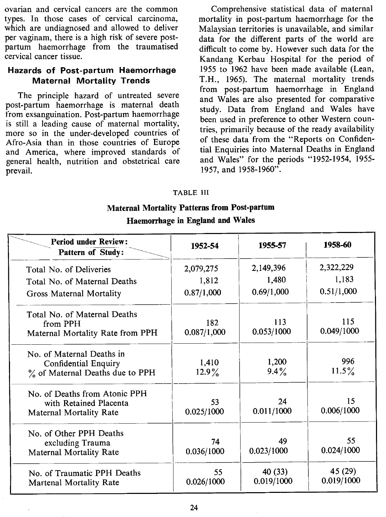ovarian and cervical cancers are the common types. In those cases of cervical carcinoma, which are undiagnosed and allowed to deliver per vaginam, there is a high risk of severe postpartum haemorrhage from the traumatised cervical cancer tissue.

#### **Hazards of Post-partum Haemorrhage Maternal Mortality Trends**

The principle hazard of untreated severe post-partum haemorrhage is maternal death from exsanguination. Post-partum haemorrhage is still a leading cause of maternal mortality, more so in the under-developed countries of Afro-Asia than in those countries of Europe and America, where improved standards of general health, nutrition and obstetrical care prevail.

Comprehensive statistical data of maternal mortality in post-partum haemorrhage for the Malaysian territories is unavailable, and similar data for the different parts of the world are difficult to come by. However such data for the Kandang Kerbau Hospital for the period of 1955 to 1962 have been made available (Lean, T.H., 1965). The maternal mortality trends from post-partum haemorrhage in England and Wales are also presented for comparative study. Data from England and Wales have been used in preference to other Western countries, primarily because of the ready availability of these data from the "Reports on Confidential Enquiries into Maternal Deaths in England and Wales" for the periods "1952-1954, 1955- 1957, and 1958-1960".

#### TABLE III

# **Maternal Mortality Patterns from Post-partum Haemorrhage in England and Wales**

| <b>Period under Review:</b><br>Pattern of Study:                                     | 1952-54                          | 1955-57                          | 1958-60                          |
|--------------------------------------------------------------------------------------|----------------------------------|----------------------------------|----------------------------------|
| Total No. of Deliveries<br>Total No. of Maternal Deaths<br>Gross Maternal Mortality  | 2,079,275<br>1,812<br>0.87/1,000 | 2,149,396<br>1,480<br>0.69/1,000 | 2,322,229<br>1,183<br>0.51/1,000 |
| Total No. of Maternal Deaths<br>from PPH<br>Maternal Mortality Rate from PPH         | 182<br>0.087/1,000               | 113<br>0.053/1000                | 115<br>0.049/1000                |
| No. of Maternal Deaths in<br>Confidential Enquiry<br>% of Maternal Deaths due to PPH | 1,410<br>$12.9\%$                | 1,200<br>$9.4\%$                 | 996<br>$11.5\%$                  |
| No. of Deaths from Atonic PPH<br>with Retained Placenta<br>Maternal Mortality Rate   | 53<br>0.025/1000                 | 24<br>0.011/1000                 | 15<br>0.006/1000                 |
| No. of Other PPH Deaths<br>excluding Trauma<br><b>Maternal Mortality Rate</b>        | 74<br>0.036/1000                 | 49<br>0.023/1000                 | 55<br>0.024/1000                 |
| No. of Traumatic PPH Deaths<br>Martenal Mortality Rate                               | 55<br>0.026/1000                 | 40 (33)<br>0.019/1000            | 45 (29)<br>0.019/1000            |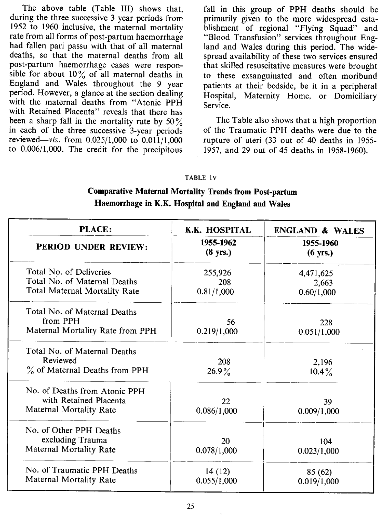The above table (Table III) shows that, during the three successive 3 year periods from 1952 to 1960 inclusive, the maternal mortality rate from all forms of post-partum haemorrhage had fallen pari passu with that of all maternal deaths, so that the maternal deaths from all post-partum haemorrhage cases were responsible for about  $10\%$  of all maternal deaths in England and Wales throughout the 9 year period. However, a glance at the section dealing with the maternal deaths from "Atonic PPH with Retained Placenta" reveals that there has been a sharp fall in the mortality rate by  $50\%$ in each of the three successive 3-year periods reviewed- $viz.$  from 0.025/1,000 to 0.011/1,000 to 0.006/1,000. The credit for the precipitous

fall in this group of PPH deaths should be primarily given to the more widespread establishment of regional "Flying Squad" and "Blood Transfusion" services throughout England and Wales during this period. The widespread availability of these two services ensured that skilled resuscitative measures were brought to these exsanguinated and often moribund patients at their bedside, be it in a peripheral Hospital, Maternity Home, or Domiciliary Service.

The Table also shows that a high proportion of the Traumatic PPH deaths were due to the rupture of uteri (33 out of 40 deaths in 1955- 1957, and 29 out of 45 deaths in 1958-1960).

#### **TABLE IV**

## Comparative Maternal Mortality Trends from Post-partum Haemorrhage in K.K. Hospital and England and Wales

| PLACE:                                                                             | <b>K.K. HOSPITAL</b>            | <b>ENGLAND &amp; WALES</b>      |
|------------------------------------------------------------------------------------|---------------------------------|---------------------------------|
| <b>PERIOD UNDER REVIEW:</b>                                                        | 1955-1962<br>$(8 \text{ yrs.})$ | 1955-1960<br>$(6 \text{ yrs.})$ |
| Total No. of Deliveries                                                            | 255,926                         | 4,471,625                       |
| Total No. of Maternal Deaths<br>Total Maternal Mortality Rate                      | 208<br>0.81/1,000               | 2,663<br>0.60/1,000             |
| Total No. of Maternal Deaths<br>from PPH<br>Maternal Mortality Rate from PPH       | 56<br>0.219/1,000               | 228<br>0.051/1,000              |
| Total No. of Maternal Deaths<br>Reviewed<br>$\%$ of Maternal Deaths from PPH       | 208<br>$26.9\%$                 | 2,196<br>$10.4\%$               |
| No. of Deaths from Atonic PPH<br>with Retained Placenta<br>Maternal Mortality Rate | 22<br>0.086/1,000               | 39<br>0.009/1,000               |
| No. of Other PPH Deaths<br>excluding Trauma<br>Maternal Mortality Rate             | 20<br>0.078/1,000               | 104<br>0.023/1,000              |
| No. of Traumatic PPH Deaths<br>Maternal Mortality Rate                             | 14(12)<br>0.055/1,000           | 85 (62)<br>0.019/1,000          |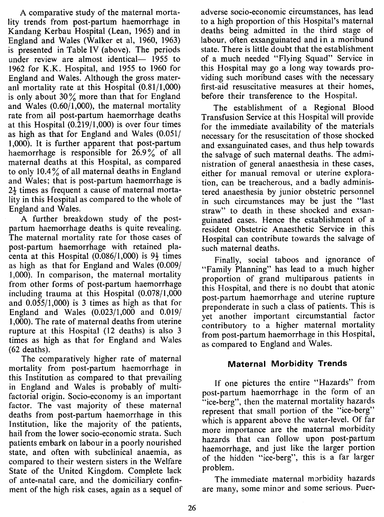A comparative study of the maternal mortality trends from post-partum haemorrhage in Kandang Kerbau Hospital (Lean, 1965) and in England and Wales (Walker et aI, 1960, 1963) is presented in Table IV (above). The periods under review are almost identical— 1955 to 1962 for K.K. Hospital, and 1955 to 1960 for England and Wales. Although the gross materanI mortality rate at this Hospital (0.81/1,000) is only about  $30\%$  more than that for England and Wales (0.60/1,000), the maternal mortality rate from all post-partum haemorrhage deaths at this Hospital (0.219/1,000) is over four times as high as that for England and Wales (0.051/ 1,000). It is further apparent that post-partum haemorrhage is responsible for  $26.9\%$  of all maternal deaths at this Hospital, as compared to only 10.4 $\frac{9}{6}$  of all maternal deaths in England and Wales; that is post-partum haemorrhage is  $2\frac{1}{2}$  times as frequent a cause of maternal mortality in this Hospital as compared to the whole of England and Wales.

A further breakdown study of the postpartum haemorrhage deaths is quite revealing. The maternal mortality rate for those cases of post-partum haemorrhage with retained placenta at this Hospital  $(0.086/1,000)$  is  $9\frac{1}{2}$  times as high as that for England and Wales (0.009/ 1,000). In comparison, the maternal mortality from other forms of post-partum haemorrhage including trauma at this Hospital (0.078/1,000 and 0.055/1,000) is 3 times as high as that for England and Wales (0.023/1,000 and 0.019/ 1,000). The rate of maternal deaths from uterine rupture at this Hospital (12 deaths) is also 3 times as high as that for England and Wales (62 deaths).

The comparatively higher rate of maternal mortality from post-partum haemorrhage in this Institution as compared to that prevailing in England and Wales is probably of multifactorial origin. Socio-economy is an important factor. The vast majority of these maternal deaths from post-partum haemorrhage in this Institution, like the majority of the patients, hail from the lower socio-economic strata. Such patients embark on labour in a poorly nourished state, and often with subclinical anaemia, as compared to their western sisters in the Welfare State of the United Kingdom. Complete lack of ante-natal care, and the domiciliary confinment of the high risk cases, again as a sequel of adverse socio-economic circumstances, has lead to a high proportion of this Hospital's maternal deaths being admitted in the third stage of labour, often exsanguinated and in a moribund state. There is little doubt that the establishment of a much needed "Flying Squad" Service in this Hospital may go a long way towards providing such moribund cases with the necessary first-aid resuscitative measures at their homes, before their transference to the Hospital.

The establishment of a Regional Blood Transfusion Service at this Hospital will provide for the immediate availability of the materials necessary for the resuscitation of those shocked and exsanguinated cases, and thus help towards the salvage of such maternal deaths. The administration of general anaesthesia in these cases, either for manual removal or uterine exploration, can be treacherous, and a badly administered anaesthesia by junior obstetric personnel in such circumstances may be just the "last straw" to death in these shocked and exsanguinated cases. Hence the establishment of a resident Obstetric Anaesthetic Service in this Hospital can contribute towards the salvage of such maternal deaths.

Finally, social taboos and ignorance of "Family Planning" has lead to a much higher proportion of grand multiparous patients in this Hospital, and there is no doubt that atonic post-partum haemorrhage and uterine rupture preponderate in such a class of patients. This is yet another important circumstantial factor contributory to a higher maternal mortality from post-partum haemorrhage in this Hospital, as compared to England and Wales.

### **Maternal Morbidity Trends**

If one pictures the entire "Hazards" from post-partum haemorrhage in the form of an "ice-berg", then the maternal mortality hazards represent that small portion of the "ice-berg" which is apparent above the water-level. Of far more importance are the maternal morbidity hazards that can follow upon post-partum haemorrhage, and just like the larger portion of the hidden "ice-berg", this is a far larger problem.

The immediate maternal morbidity hazards are many, some minor and some serious. Puer-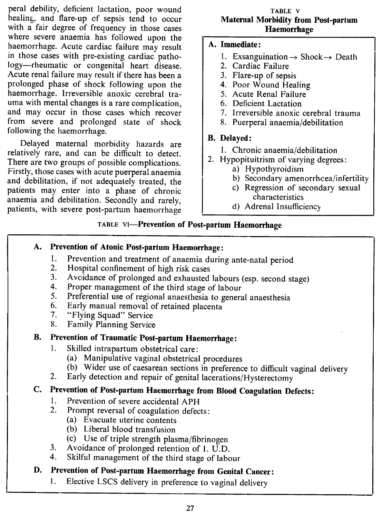peral debility, deficient lactation, poor wound healing, and flare-up of sepsis tend to occur with a fair degree of frequency in those cases where severe anaemia has followed upon the haemorrhage. Acute cardiac failure may result in those cases with pre-existing cardiac pathology--rheumatic or congenital heart disease. Acute renal failure may result if there has been a prolonged phase of shock following upon the haemorrhage. Irreversible anoxic cerebral trauma with mental changes is a rare complication, and may occur in those cases which recover from severe and prolonged state of shock following the haemorrhage.

Delayed maternal morbidity hazards are relatively rare, and can be difficult to detect. There are two groups of possible complications. Firstly, those cases with acute puerperal anaemia and debilitation, if not adequately treated, the patients may enter into a phase of chronic anaemia and debilitation. Secondly and rarely, patients, with severe post-partum haemorrhage

#### TABLE V Maternal Morbidity from Post-partum Haemorrhage

### A. Immediate:

- 1. Exsanguination  $\rightarrow$  Shock  $\rightarrow$  Death
- 2. Cardiac Failure
- 3. Flare-up of sepsis
- 4. Poor Wound Healing
- 5. Acute Renal Failure
- 6. Deficient Lactation
- 7. Irreversible anoxic cerebral trauma
- 8. Puerperal anaemia/debilitation

### B. Delayed:

- I. Chronic anaemia/debilitation
- 2. Hypopituitrism of varying degrees:
	- a) Hypothyroidism
		- b) Secondary amenorrhcea/infertility
		- c) Regression of secondary sexual characteristics
	- d) Adrenal Insufficienc)

### TABLE VI-Prevention of Post-partum Haemorrhage

## A. Prevention of Atonic Post-partum Haemorrhage:

- 1. Prevention and treatment of anaemia during ante-natal period
- 2. Hospital confinement of high risk cases<br>3. Avoidance of prolonged and exhausted
- Avoidance of prolonged and exhausted labours (esp. second stage)
- 4. Proper management of the third stage of labour
- 5. Preferential use of regional anaesthesia to general anaesthesia
- 6. Early manual removal of retained placenta<br>7. "Flying Squad" Service
- "Flying Squad" Service
- 8. Family Planning Service

## B. Prevention of Traumatic Post-partum Haemorrhage:

- 1. Skilled intrapartum obstetrical care:
	- (a) Manipulative vaginal obstetrical procedures
	- (b) Wider use of caesarean sections in preference to difficult vaginal delivery
- 2. Early detection and repair of genital lacerations/Hysterectomy

## C. Prevention of Post-partum Haemorrhage from Blood Coagulation Defects:

- 1. Prevention of severe accidental APH
- 2. Prompt reversal of coagulation defects:
	- (a) Evacuate uterine contents
	- (b) Liberal blood transfusion
	- (c) Use of triple strength plasma/fibrinogen
- 3. Avoidance of prolonged retention of I. U.D.
- 4. Skilful management of the third stage of labour

# D. Prevention of Post-partum Haemorrhage from Genital Cancer:

I. Elective LSCS delivery in preference to vaginal delivery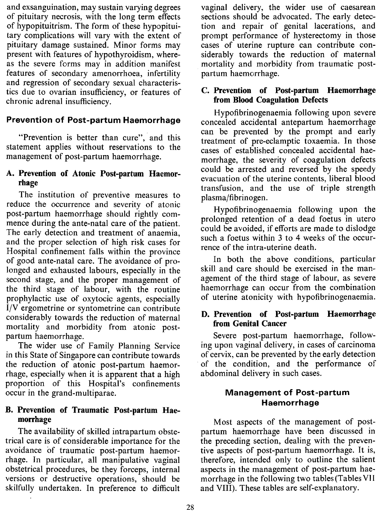and exsanguination, may sustain varying degrees of pituitary necrosis, with the long term effects of hypopituitrism. The form of these hypopituitary complications will vary with the extent of pituitary damage sustained. Minor forms may present with features of hypothyroidism, whereas the severe forms may in addition manifest features of secondary amenorrhoea, infertility and regression of secondary sexual characteristics due to ovarian insufficiency, or features of chronic adrenal insufficiency.

### **Prevention of Post-partum Haemorrhage**

"Prevention is better than cure", and this statement applies without reservations to the management of post-partum haemorrhage.

### A. Prevention of Atonic Post-partum Haemorrhage

The institution of preventive measures to reduce the occurrence and severity of atonic post-partum haemorrhage should rightly commence during the ante-natal care of the patient. The early detection and treatment of anaemia, and the proper selection of high risk cases for Hospital confinement falls within the province of good ante-natal care. The avoidance of prolonged and exhausted labours, especially in the second stage, and the proper management of the third stage of labour, with the routine prophylactic use of oxytocic agents, especially f/V ergometrine or syntometrine can contribute considerably towards the reduction of maternal mortality and morbidity from atonic postpartum haemorrhage.

The wider use of Family Planning Service in this State of Singapore can contribute towards the reduction of atonic post-partum haemorrhage, especially when it is apparent that a high proportion of this Hospital's confinements occur in the grand-multiparae.

#### B. Prevention of Traumatic Post-partum Haemorrhage

The availability of skilled intrapartum obstetrical care is of considerable importance for the avoidance of traumatic post-partum haemorrhage. In particular, all manipulative vaginal obstetrical procedures, be they forceps, internal versions or destructive operations, should be skilfully undertaken. In preference to difficult

vaginal delivery, the wider use of caesarean sections should be advocated. The early detection and repair of genital lacerations, and prompt performance of hysterectomy in those cases of uterine rupture can contribute considerably towards the reduction of maternal mortality and morbidity from traumatic postpartum haemorrhage.

#### C. Prevention of Post-partum Haemorrhage from Blood Coagulation Defects

Hypofibrinogenaemia following upon severe concealed accidental antepartum haemorrhage can be prevented by the prompt and early treatment of pre-eclamptic toxaemia. In those cases of established concealed accidental haemorrhage, the severity of coagulation defects could be arrested and reversed by the speedy evacuation of the uterine contents, liberal blood transfusion, and the use of triple strength plasma/fibrinogen.

Hypofibrinogenaemia following upon the prolonged retention of a dead foetus in utero could be avoided, if efforts are made to dislodge such a foetus within 3 to 4 weeks of the occurrence of the intra-uterine death.

In both the above conditions, particular skill and care should be exercised in the management of the third stage of labour, as severe haemorrhage can occur from the combination of uterine atonicity with hypofibrinogenaemia.

### D. Prevention of Post-partum Haemorrhage from Genital Cancer

Severe post-partum haemorrhage, following upon vaginal delivery, in cases of carcinoma of cervix, can be prevented by the early detection of the condition, and the performance of abdominal delivery in such cases.

### Management of Post-partum Haemorrhage

Most aspects of the management of postpartum haemorrhage have been discussed in the preceding section, dealing with the preventive aspects of post-partum haemorrhage. It is, therefore, intended only to outline the salient aspects in the management of post-partum haemorrhage in the following two tables (Tables VII and VIII). These tables are self-explanatory.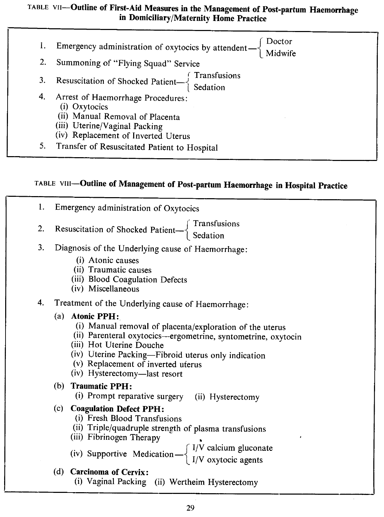### TABLE **vII-Outline of First-Aid Measures in the Management of Post-partum Haemorrhage in Domiciliary/Maternity Horne Practice**

| 1. | Emergency administration of oxytocics by attendent $-\begin{cases}$ Doctor<br>Midwife                                                                         |
|----|---------------------------------------------------------------------------------------------------------------------------------------------------------------|
| 2. | Summoning of "Flying Squad" Service                                                                                                                           |
|    | 3. Resuscitation of Shocked Patient— $\begin{cases}$ Transfusions<br>Sedation                                                                                 |
| 4. | Arrest of Haemorrhage Procedures:<br>(i) Oxytocics<br>(ii) Manual Removal of Placenta<br>(iii) Uterine/Vaginal Packing<br>(iv) Replacement of Inverted Uterus |
|    | Transfer of Resuscitated Patient to Hospital                                                                                                                  |

# TABLE VIII-Outline of Management of Post-partum Haemorrhage in Hospital Practice

- 1. Emergency administration of Oxytocics
- $\int$  Transfusions 2. Resuscitation of Shocked Patient— $\left\{\begin{array}{c} \infty \end{array} \right\}$  Sedation
- 3. Diagnosis of the Underlying cause of Haemorrhage:
	- (i) Atonic causes
	- (ii) Traumatic causes
	- (iii) Blood Coagulation Defects
	- (iv) Miscellaneous
- 4. Treatment of the Underlying cause of Haemorrhage:

#### (a) **Atonic PPH:**

- (i) Manual removal of placenta/exploration of the uterus
- (ii) Parenteral oxytocics-ergometrine, syntometrine, oxytocin
- (iii) Hot Uterine Douche
- (iv) Uterine Packing-Fibroid uterus only indication
- (v) Replacement of inverted uterus
- (iv) Hysterectomy-last resort

### (b) **Traumatic PPH:**

(i) Prompt reparative surgery (ii) Hysterectomy

### (c) **Coagulation Defect PPH:**

- (i) Fresh Blood Transfusions
- (ii) Triple/quadruple strength of plasma transfusions
- (iii) Fibrinogen Therapy
	- {  $IV$  calcium gluconat iv) Supportive Medication  $\rightarrow$   $\frac{1}{1}$  (V oxytocic agents)
- (d) **Carcinoma of Cervix:**

(i) Vaginal Packing (ii) Wertheim Hysterectomy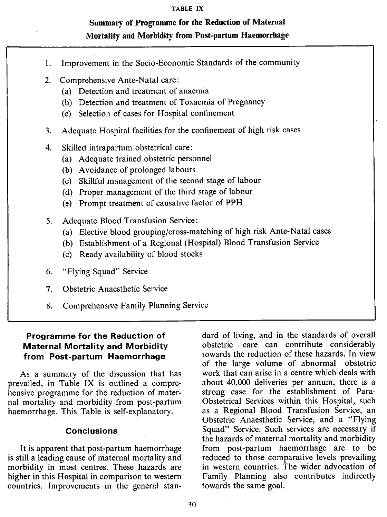#### **TABLE IX**

## **Summary of Programme for the Reduction of Maternal Mortality and Morbidity from Post-partum Haemorrhage**

- 1. Improvement in the Socio-Economic Standards of the community
- 2. Comprehensive Ante-Natal care:
	- (a) Detection and treatment of anaemia
	- (b) Detection and treatment of Toxaemia of Pregnancy
	- (c) Selection of cases for Hospital confinement
- 3. Adequate Hospital facilities for the confinement of high risk cases
- 4. Skilled intrapartum obstetrical care:
	- (a) Adequate trained obstetric personnel
	- (b) Avoidance of prolonged labours
	- (c) Skillful management of the second stage of labour
	- (d) Proper management of the third stage of labour
	- (e) Prompt treatment of causative factor of PPH
- 5. Adequate Blood Transfusion Service:
	- (a) Elective blood grouping/cross-matching of high risk Ante-Natal cases
	- (b) Establishment of a Regional (Hospital) Blood Transfusion Service
	- (c) Ready availability of blood stocks
- 6. "Flying Squad" Service
- 7. Obstetric Anaesthetic Service
- Comprehensive Family Planning Service 8.

#### **Programme for the Reduction of Maternal Mortality and Morbidity from Post-partum Haemorrhage**

As a summary of the discussion that has prevailed, in Table IX is outlined a comprehensive programme for the reduction of maternal mortality and morbidity from post-partum haemorrhage. This Table is self-explanatory.

#### **Conclusions**

It is apparent that post-partum haemorrhage is still a leading cause of maternal mortality and morbidity in most centres. These hazards are higher in this Hospital in comparison to western countries. Improvements in the general standard of living, and in the standards of overall obstetric care can contribute considerably towards the reduction of these hazards. In view of the large volume of abnormal obstetric work that can arise in a centre which deals with about 40,000 deliveries per annum, there is a strong case for the establishment of Para-Obstetrical Services within this Hospital, such as a Regional Blood Transfusion Service, an Obstetric Anaesthetic Service, and a "Flying Squad" Service. Such services are necessary if the hazards of maternal mortality and morbidity from post-partum haemorrhage are to be reduced to those comparative levels prevailing in western countries. The wider advocation of Family Planning also contributes indirectly towards the same goal.